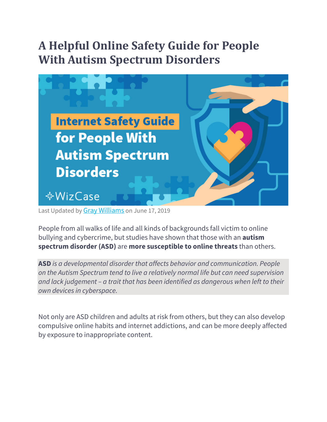# **A Helpful Online Safety Guide for People With Autism Spectrum Disorders**



Last Updated by **Gray Williams** on June 17, 2019

People from all walks of life and all kinds of backgrounds fall victim to online bullying and cybercrime, but studies have shown that those with an **autism spectrum disorder (ASD)** are **more susceptible to online threats** than others.

**ASD** *is a developmental disorder that affects behavior and communication. People on the Autism Spectrum tend to live a relatively normal life but can need supervision and lack judgement – a trait that has been identified as dangerous when left to their own devices in cyberspace.*

Not only are ASD children and adults at risk from others, but they can also develop compulsive online habits and internet addictions, and can be more deeply affected by exposure to inappropriate content.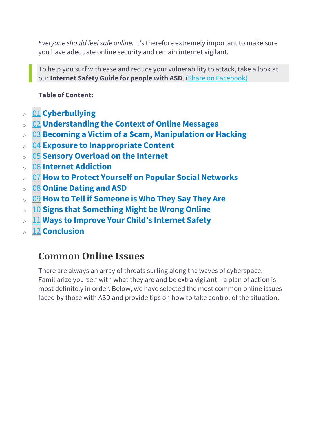*Everyone should feel safe online.* It's therefore extremely important to make sure you have adequate online security and remain internet vigilant.

To help you surf with ease and reduce your vulnerability to attack, take a look at our **Internet Safety Guide for people with ASD**. (Share on Facebook)

#### **Table of Content:**

- <sup>o</sup> 01 **Cyberbullying**
- <sup>o</sup> 02 **Understanding the Context of Online Messages**
- <sup>o</sup> 03 **Becoming a Victim of a Scam, Manipulation or Hacking**
- <sup>o</sup> 04 **Exposure to Inappropriate Content**
- <sup>o</sup> 05 **Sensory Overload on the Internet**
- <sup>o</sup> 06 **Internet Addiction**
- <sup>o</sup> 07 **How to Protect Yourself on Popular Social Networks**
- <sup>o</sup> 08 **Online Dating and ASD**
- <sup>o</sup> 09 **How to Tell if Someone is Who They Say They Are**
- <sup>o</sup> 10 **Signs that Something Might be Wrong Online**
- <sup>o</sup> 11 **Ways to Improve Your Child's Internet Safety**
- <sup>o</sup> 12 **Conclusion**

### **Common Online Issues**

There are always an array of threats surfing along the waves of cyberspace. Familiarize yourself with what they are and be extra vigilant – a plan of action is most definitely in order. Below, we have selected the most common online issues faced by those with ASD and provide tips on how to take control of the situation.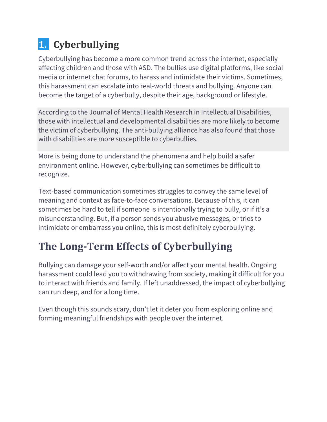# **1.** Cyberbullying

Cyberbullying has become a more common trend across the internet, especially affecting children and those with ASD. The bullies use digital platforms, like social media or internet chat forums, to harass and intimidate their victims. Sometimes, this harassment can escalate into real-world threats and bullying. Anyone can become the target of a cyberbully, despite their age, background or lifestyle.

According to the Journal of Mental Health Research in Intellectual Disabilities, those with intellectual and developmental disabilities are more likely to become the victim of cyberbullying. The anti-bullying alliance has also found that those with disabilities are more susceptible to cyberbullies.

More is being done to understand the phenomena and help build a safer environment online. However, cyberbullying can sometimes be difficult to recognize.

Text-based communication sometimes struggles to convey the same level of meaning and context as face-to-face conversations. Because of this, it can sometimes be hard to tell if someone is intentionally trying to bully, or if it's a misunderstanding. But, if a person sends you abusive messages, or tries to intimidate or embarrass you online, this is most definitely cyberbullying.

# **The Long-Term Effects of Cyberbullying**

Bullying can damage your self-worth and/or affect your mental health. Ongoing harassment could lead you to withdrawing from society, making it difficult for you to interact with friends and family. If left unaddressed, the impact of cyberbullying can run deep, and for a long time.

Even though this sounds scary, don't let it deter you from exploring online and forming meaningful friendships with people over the internet.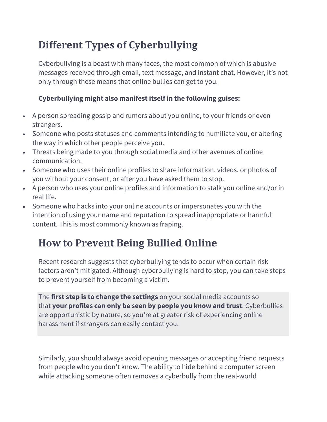## **Different Types of Cyberbullying**

Cyberbullying is a beast with many faces, the most common of which is abusive messages received through email, text message, and instant chat. However, it's not only through these means that online bullies can get to you.

#### **Cyberbullying might also manifest itself in the following guises:**

- A person spreading gossip and rumors about you online, to your friends or even strangers.
- Someone who posts statuses and comments intending to humiliate you, or altering the way in which other people perceive you.
- Threats being made to you through social media and other avenues of online communication.
- Someone who uses their online profiles to share information, videos, or photos of you without your consent, or after you have asked them to stop.
- A person who uses your online profiles and information to stalk you online and/or in real life.
- Someone who hacks into your online accounts or impersonates you with the intention of using your name and reputation to spread inappropriate or harmful content. This is most commonly known as fraping.

## **How to Prevent Being Bullied Online**

Recent research suggests that cyberbullying tends to occur when certain risk factors aren't mitigated. Although cyberbullying is hard to stop, you can take steps to prevent yourself from becoming a victim.

The **first step is to change the settings** on your social media accounts so that **your profiles can only be seen by people you know and trust**. Cyberbullies are opportunistic by nature, so you're at greater risk of experiencing online harassment if strangers can easily contact you.

Similarly, you should always avoid opening messages or accepting friend requests from people who you don't know. The ability to hide behind a computer screen while attacking someone often removes a cyberbully from the real-world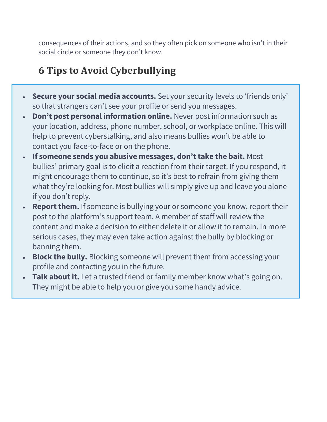consequences of their actions, and so they often pick on someone who isn't in their social circle or someone they don't know.

## **6 Tips to Avoid Cyberbullying**

- **Secure your social media accounts.** Set your security levels to 'friends only' so that strangers can't see your profile or send you messages.
- **Don't post personal information online.** Never post information such as your location, address, phone number, school, or workplace online. This will help to prevent cyberstalking, and also means bullies won't be able to contact you face-to-face or on the phone.
- **If someone sends you abusive messages, don't take the bait.** Most bullies' primary goal is to elicit a reaction from their target. If you respond, it might encourage them to continue, so it's best to refrain from giving them what they're looking for. Most bullies will simply give up and leave you alone if you don't reply.
- **Report them.** If someone is bullying your or someone you know, report their post to the platform's support team. A member of staff will review the content and make a decision to either delete it or allow it to remain. In more serious cases, they may even take action against the bully by blocking or banning them.
- **Block the bully.** Blocking someone will prevent them from accessing your profile and contacting you in the future.
- **Talk about it.** Let a trusted friend or family member know what's going on. They might be able to help you or give you some handy advice.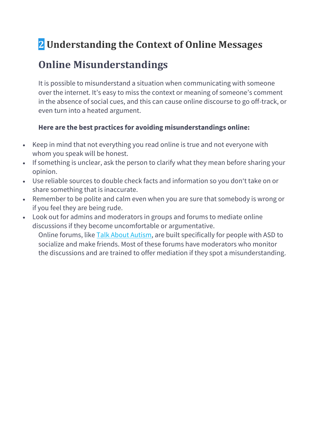## **2 Understanding the Context of Online Messages**

## **Online Misunderstandings**

It is possible to misunderstand a situation when communicating with someone over the internet. It's easy to miss the context or meaning of someone's comment in the absence of social cues, and this can cause online discourse to go off-track, or even turn into a heated argument.

#### **Here are the best practices for avoiding misunderstandings online:**

- Keep in mind that not everything you read online is true and not everyone with whom you speak will be honest.
- If something is unclear, ask the person to clarify what they mean before sharing your opinion.
- Use reliable sources to double check facts and information so you don't take on or share something that is inaccurate.
- Remember to be polite and calm even when you are sure that somebody is wrong or if you feel they are being rude.
- Look out for admins and moderators in groups and forums to mediate online discussions if they become uncomfortable or argumentative.

Online forums, like Talk About Autism, are built specifically for people with ASD to socialize and make friends. Most of these forums have moderators who monitor the discussions and are trained to offer mediation if they spot a misunderstanding.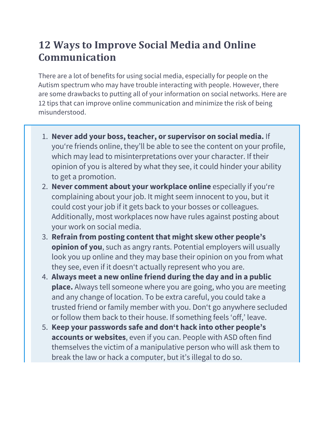## **12 Ways to Improve Social Media and Online Communication**

There are a lot of benefits for using social media, especially for people on the Autism spectrum who may have trouble interacting with people. However, there are some drawbacks to putting all of your information on social networks. Here are 12 tips that can improve online communication and minimize the risk of being misunderstood.

- 1. **Never add your boss, teacher, or supervisor on social media.** If you're friends online, they'll be able to see the content on your profile, which may lead to misinterpretations over your character. If their opinion of you is altered by what they see, it could hinder your ability to get a promotion.
- 2. **Never comment about your workplace online** especially if you're complaining about your job. It might seem innocent to you, but it could cost your job if it gets back to your bosses or colleagues. Additionally, most workplaces now have rules against posting about your work on social media.
- 3. **Refrain from posting content that might skew other people's opinion of you**, such as angry rants. Potential employers will usually look you up online and they may base their opinion on you from what they see, even if it doesn't actually represent who you are.
- 4. **Always meet a new online friend during the day and in a public place.** Always tell someone where you are going, who you are meeting and any change of location. To be extra careful, you could take a trusted friend or family member with you. Don't go anywhere secluded or follow them back to their house. If something feels 'off,' leave.
- 5. **Keep your passwords safe and don't hack into other people's accounts or websites**, even if you can. People with ASD often find themselves the victim of a manipulative person who will ask them to break the law or hack a computer, but it's illegal to do so.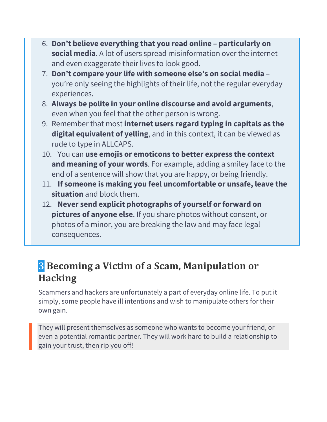- 6. **Don't believe everything that you read online – particularly on social media**. A lot of users spread misinformation over the internet and even exaggerate their lives to look good.
- 7. **Don't compare your life with someone else's on social media** you're only seeing the highlights of their life, not the regular everyday experiences.
- 8. **Always be polite in your online discourse and avoid arguments**, even when you feel that the other person is wrong.
- 9. Remember that most **internet users regard typing in capitals as the digital equivalent of yelling**, and in this context, it can be viewed as rude to type in ALLCAPS.
- 10. You can **use emojis or emoticons to better express the context and meaning of your words**. For example, adding a smiley face to the end of a sentence will show that you are happy, or being friendly.
- 11. **If someone is making you feel uncomfortable or unsafe, leave the situation** and block them.
- 12. Never send explicit photographs of yourself or forward on **pictures of anyone else**. If you share photos without consent, or photos of a minor, you are breaking the law and may face legal consequences.

## **3** Becoming a Victim of a Scam, Manipulation or **Hacking**

Scammers and hackers are unfortunately a part of everyday online life. To put it simply, some people have ill intentions and wish to manipulate others for their own gain.

They will present themselves as someone who wants to become your friend, or even a potential romantic partner. They will work hard to build a relationship to gain your trust, then rip you off!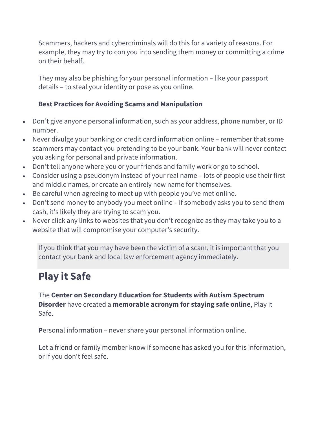Scammers, hackers and cybercriminals will do this for a variety of reasons. For example, they may try to con you into sending them money or committing a crime on their behalf.

They may also be phishing for your personal information – like your passport details – to steal your identity or pose as you online.

#### **Best Practices for Avoiding Scams and Manipulation**

- Don't give anyone personal information, such as your address, phone number, or ID number.
- Never divulge your banking or credit card information online remember that some scammers may contact you pretending to be your bank. Your bank will never contact you asking for personal and private information.
- Don't tell anyone where you or your friends and family work or go to school.
- Consider using a pseudonym instead of your real name lots of people use their first and middle names, or create an entirely new name for themselves.
- Be careful when agreeing to meet up with people you've met online.
- Don't send money to anybody you meet online if somebody asks you to send them cash, it's likely they are trying to scam you.
- Never click any links to websites that you don't recognize as they may take you to a website that will compromise your computer's security.

If you think that you may have been the victim of a scam, it is important that you contact your bank and local law enforcement agency immediately.

### **Play it Safe**

The **Center on Secondary Education for Students with Autism Spectrum Disorder** have created a **memorable acronym for staying safe online**, Play it Safe.

**P**ersonal information – never share your personal information online.

Let a friend or family member know if someone has asked you for this information, or if you don't feel safe.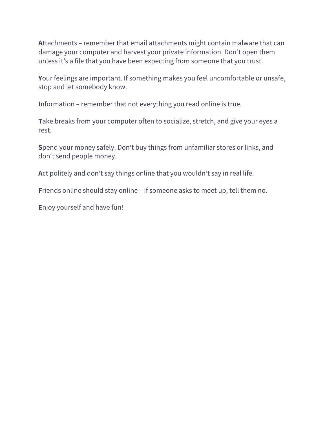**A**ttachments – remember that email attachments might contain malware that can damage your computer and harvest your private information. Don't open them unless it's a file that you have been expecting from someone that you trust.

**Y**our feelings are important. If something makes you feel uncomfortable or unsafe, stop and let somebody know.

**I**nformation – remember that not everything you read online is true.

**T**ake breaks from your computer often to socialize, stretch, and give your eyes a rest.

**S**pend your money safely. Don't buy things from unfamiliar stores or links, and don't send people money.

**A**ct politely and don't say things online that you wouldn't say in real life.

**F**riends online should stay online – if someone asks to meet up, tell them no.

**E**njoy yourself and have fun!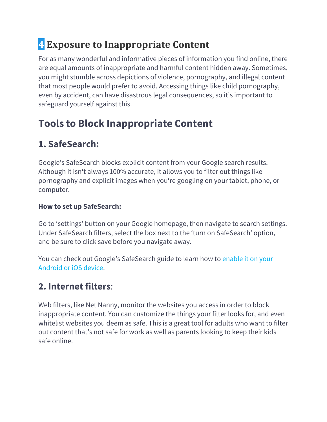# **4 Exposure to Inappropriate Content**

For as many wonderful and informative pieces of information you find online, there are equal amounts of inappropriate and harmful content hidden away. Sometimes, you might stumble across depictions of violence, pornography, and illegal content that most people would prefer to avoid. Accessing things like child pornography, even by accident, can have disastrous legal consequences, so it's important to safeguard yourself against this.

## **Tools to Block Inappropriate Content**

### **1. SafeSearch:**

Google's SafeSearch blocks explicit content from your Google search results. Although it isn't always 100% accurate, it allows you to filter out things like pornography and explicit images when you're googling on your tablet, phone, or computer.

#### **How to set up SafeSearch:**

Go to 'settings' button on your Google homepage, then navigate to search settings. Under SafeSearch filters, select the box next to the 'turn on SafeSearch' option, and be sure to click save before you navigate away.

You can check out Google's SafeSearch guide to learn how to enable it on your Android or iOS device.

### **2. Internet filters**:

Web filters, like Net Nanny, monitor the websites you access in order to block inappropriate content. You can customize the things your filter looks for, and even whitelist websites you deem as safe. This is a great tool for adults who want to filter out content that's not safe for work as well as parents looking to keep their kids safe online.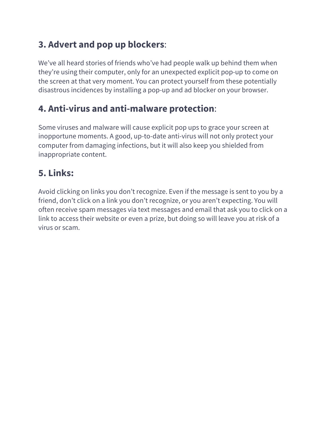### **3. Advert and pop up blockers**:

We've all heard stories of friends who've had people walk up behind them when they're using their computer, only for an unexpected explicit pop-up to come on the screen at that very moment. You can protect yourself from these potentially disastrous incidences by installing a pop-up and ad blocker on your browser.

### **4. Anti-virus and anti-malware protection**:

Some viruses and malware will cause explicit pop ups to grace your screen at inopportune moments. A good, up-to-date anti-virus will not only protect your computer from damaging infections, but it will also keep you shielded from inappropriate content.

### **5. Links:**

Avoid clicking on links you don't recognize. Even if the message is sent to you by a friend, don't click on a link you don't recognize, or you aren't expecting. You will often receive spam messages via text messages and email that ask you to click on a link to access their website or even a prize, but doing so will leave you at risk of a virus or scam.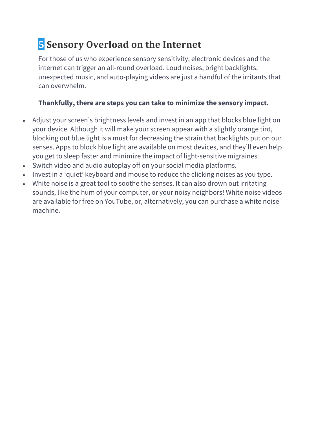# **5** Sensory Overload on the Internet

For those of us who experience sensory sensitivity, electronic devices and the internet can trigger an all-round overload. Loud noises, bright backlights, unexpected music, and auto-playing videos are just a handful of the irritants that can overwhelm.

#### **Thankfully, there are steps you can take to minimize the sensory impact.**

- Adjust your screen's brightness levels and invest in an app that blocks blue light on your device. Although it will make your screen appear with a slightly orange tint, blocking out blue light is a must for decreasing the strain that backlights put on our senses. Apps to block blue light are available on most devices, and they'll even help you get to sleep faster and minimize the impact of light-sensitive migraines.
- Switch video and audio autoplay off on your social media platforms.
- Invest in a 'quiet' keyboard and mouse to reduce the clicking noises as you type.
- White noise is a great tool to soothe the senses. It can also drown out irritating sounds, like the hum of your computer, or your noisy neighbors! White noise videos are available for free on YouTube, or, alternatively, you can purchase a white noise machine.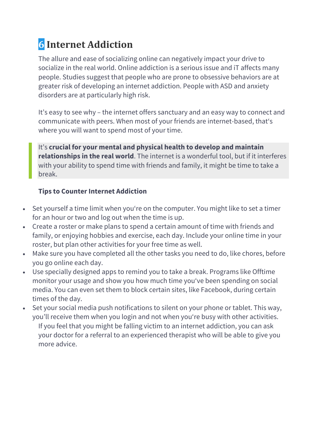# **6 Internet Addiction**

The allure and ease of socializing online can negatively impact your drive to socialize in the real world. Online addiction is a serious issue and iT affects many people. Studies suggest that people who are prone to obsessive behaviors are at greater risk of developing an internet addiction. People with ASD and anxiety disorders are at particularly high risk.

It's easy to see why – the internet offers sanctuary and an easy way to connect and communicate with peers. When most of your friends are internet-based, that's where you will want to spend most of your time.

It's **crucial for your mental and physical health to develop and maintain relationships in the real world**. The internet is a wonderful tool, but if it interferes with your ability to spend time with friends and family, it might be time to take a break.

#### **Tips to Counter Internet Addiction**

- Set yourself a time limit when you're on the computer. You might like to set a timer for an hour or two and log out when the time is up.
- Create a roster or make plans to spend a certain amount of time with friends and family, or enjoying hobbies and exercise, each day. Include your online time in your roster, but plan other activities for your free time as well.
- Make sure you have completed all the other tasks you need to do, like chores, before you go online each day.
- Use specially designed apps to remind you to take a break. Programs like Offtime monitor your usage and show you how much time you've been spending on social media. You can even set them to block certain sites, like Facebook, during certain times of the day.
- Set your social media push notifications to silent on your phone or tablet. This way, you'll receive them when you login and not when you're busy with other activities. If you feel that you might be falling victim to an internet addiction, you can ask your doctor for a referral to an experienced therapist who will be able to give you more advice.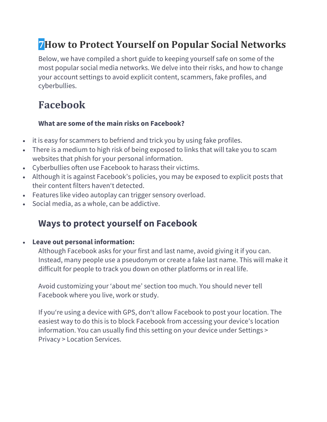## **7 How to Protect Yourself on Popular Social Networks**

Below, we have compiled a short guide to keeping yourself safe on some of the most popular social media networks. We delve into their risks, and how to change your account settings to avoid explicit content, scammers, fake profiles, and cyberbullies.

## **Facebook**

#### **What are some of the main risks on Facebook?**

- it is easy for scammers to befriend and trick you by using fake profiles.
- There is a medium to high risk of being exposed to links that will take you to scam websites that phish for your personal information.
- Cyberbullies often use Facebook to harass their victims.
- Although it is against Facebook's policies, you may be exposed to explicit posts that their content filters haven't detected.
- Features like video autoplay can trigger sensory overload.
- Social media, as a whole, can be addictive.

### **Ways to protect yourself on Facebook**

#### • **Leave out personal information:**

Although Facebook asks for your first and last name, avoid giving it if you can. Instead, many people use a pseudonym or create a fake last name. This will make it difficult for people to track you down on other platforms or in real life.

Avoid customizing your 'about me' section too much. You should never tell Facebook where you live, work or study.

If you're using a device with GPS, don't allow Facebook to post your location. The easiest way to do this is to block Facebook from accessing your device's location information. You can usually find this setting on your device under Settings > Privacy > Location Services.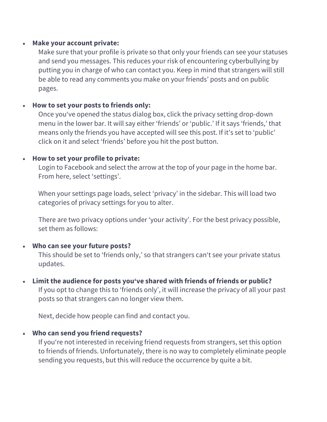#### • **Make your account private:**

Make sure that your profile is private so that only your friends can see your statuses and send you messages. This reduces your risk of encountering cyberbullying by putting you in charge of who can contact you. Keep in mind that strangers will still be able to read any comments you make on your friends' posts and on public pages.

#### • **How to set your posts to friends only:**

Once you've opened the status dialog box, click the privacy setting drop-down menu in the lower bar. It will say either 'friends' or 'public.' If it says 'friends,' that means only the friends you have accepted will see this post. If it's set to 'public' click on it and select 'friends' before you hit the post button.

#### • **How to set your profile to private:**

Login to Facebook and select the arrow at the top of your page in the home bar. From here, select 'settings'.

When your settings page loads, select 'privacy' in the sidebar. This will load two categories of privacy settings for you to alter.

There are two privacy options under 'your activity'. For the best privacy possible, set them as follows:

#### • **Who can see your future posts?**

This should be set to 'friends only,' so that strangers can't see your private status updates.

• **Limit the audience for posts you've shared with friends of friends or public?** If you opt to change this to 'friends only', it will increase the privacy of all your past posts so that strangers can no longer view them.

Next, decide how people can find and contact you.

#### • **Who can send you friend requests?**

If you're not interested in receiving friend requests from strangers, set this option to friends of friends. Unfortunately, there is no way to completely eliminate people sending you requests, but this will reduce the occurrence by quite a bit.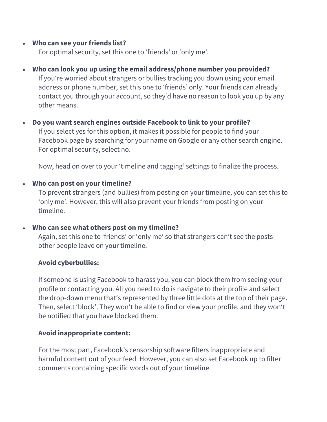#### • **Who can see your friends list?**

For optimal security, set this one to 'friends' or 'only me'.

- **Who can look you up using the email address/phone number you provided?** If you're worried about strangers or bullies tracking you down using your email address or phone number, set this one to 'friends' only. Your friends can already contact you through your account, so they'd have no reason to look you up by any other means.
- **Do you want search engines outside Facebook to link to your profile?** If you select yes for this option, it makes it possible for people to find your Facebook page by searching for your name on Google or any other search engine. For optimal security, select no.

Now, head on over to your 'timeline and tagging' settings to finalize the process.

#### • **Who can post on your timeline?**

To prevent strangers (and bullies) from posting on your timeline, you can set this to 'only me'. However, this will also prevent your friends from posting on your timeline.

#### • **Who can see what others post on my timeline?**

Again, set this one to 'friends' or 'only me' so that strangers can't see the posts other people leave on your timeline.

#### **Avoid cyberbullies:**

If someone is using Facebook to harass you, you can block them from seeing your profile or contacting you. All you need to do is navigate to their profile and select the drop-down menu that's represented by three little dots at the top of their page. Then, select 'block'. They won't be able to find or view your profile, and they won't be notified that you have blocked them.

#### **Avoid inappropriate content:**

For the most part, Facebook's censorship software filters inappropriate and harmful content out of your feed. However, you can also set Facebook up to filter comments containing specific words out of your timeline.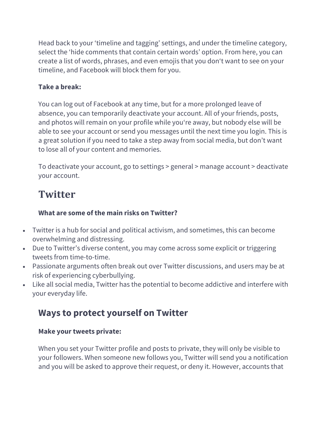Head back to your 'timeline and tagging' settings, and under the timeline category, select the 'hide comments that contain certain words' option. From here, you can create a list of words, phrases, and even emojis that you don't want to see on your timeline, and Facebook will block them for you.

#### **Take a break:**

You can log out of Facebook at any time, but for a more prolonged leave of absence, you can temporarily deactivate your account. All of your friends, posts, and photos will remain on your profile while you're away, but nobody else will be able to see your account or send you messages until the next time you login. This is a great solution if you need to take a step away from social media, but don't want to lose all of your content and memories.

To deactivate your account, go to settings > general > manage account > deactivate your account.

### **Twitter**

#### **What are some of the main risks on Twitter?**

- Twitter is a hub for social and political activism, and sometimes, this can become overwhelming and distressing.
- Due to Twitter's diverse content, you may come across some explicit or triggering tweets from time-to-time.
- Passionate arguments often break out over Twitter discussions, and users may be at risk of experiencing cyberbullying.
- Like all social media, Twitter has the potential to become addictive and interfere with your everyday life.

### **Ways to protect yourself on Twitter**

#### **Make your tweets private:**

When you set your Twitter profile and posts to private, they will only be visible to your followers. When someone new follows you, Twitter will send you a notification and you will be asked to approve their request, or deny it. However, accounts that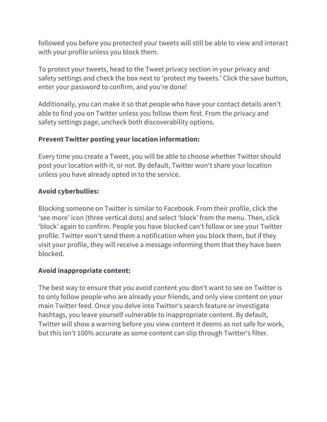followed you before you protected your tweets will still be able to view and interact with your profile unless you block them.

To protect your tweets, head to the Tweet privacy section in your privacy and safety settings and check the box next to 'protect my tweets.' Click the save button, enter your password to confirm, and you're done!

Additionally, you can make it so that people who have your contact details aren't able to find you on Twitter unless you follow them first. From the privacy and safety settings page, uncheck both discoverability options.

#### **Prevent Twitter posting your location information:**

Every time you create a Tweet, you will be able to choose whether Twitter should post your location with it, or not. By default, Twitter won't share your location unless you have already opted in to the service.

#### **Avoid cyberbullies:**

Blocking someone on Twitter is similar to Facebook. From their profile, click the 'see more' icon (three vertical dots) and select 'block' from the menu. Then, click 'block' again to confirm. People you have blocked can't follow or see your Twitter profile. Twitter won't send them a notification when you block them, but if they visit your profile, they will receive a message informing them that they have been blocked.

#### **Avoid inappropriate content:**

The best way to ensure that you avoid content you don't want to see on Twitter is to only follow people who are already your friends, and only view content on your main Twitter feed. Once you delve into Twitter's search feature or investigate hashtags, you leave yourself vulnerable to inappropriate content. By default, Twitter will show a warning before you view content it deems as not safe for work, but this isn't 100% accurate as some content can slip through Twitter's filter.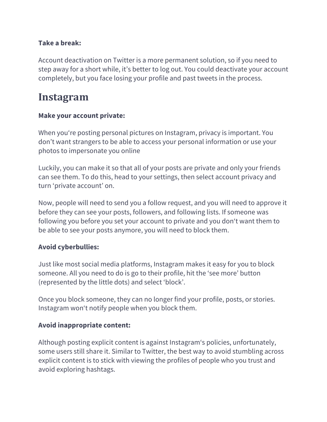#### **Take a break:**

Account deactivation on Twitter is a more permanent solution, so if you need to step away for a short while, it's better to log out. You could deactivate your account completely, but you face losing your profile and past tweets in the process.

### **Instagram**

#### **Make your account private:**

When you're posting personal pictures on Instagram, privacy is important. You don't want strangers to be able to access your personal information or use your photos to impersonate you online

Luckily, you can make it so that all of your posts are private and only your friends can see them. To do this, head to your settings, then select account privacy and turn 'private account' on.

Now, people will need to send you a follow request, and you will need to approve it before they can see your posts, followers, and following lists. If someone was following you before you set your account to private and you don't want them to be able to see your posts anymore, you will need to block them.

#### **Avoid cyberbullies:**

Just like most social media platforms, Instagram makes it easy for you to block someone. All you need to do is go to their profile, hit the 'see more' button (represented by the little dots) and select 'block'.

Once you block someone, they can no longer find your profile, posts, or stories. Instagram won't notify people when you block them.

#### **Avoid inappropriate content:**

Although posting explicit content is against Instagram's policies, unfortunately, some users still share it. Similar to Twitter, the best way to avoid stumbling across explicit content is to stick with viewing the profiles of people who you trust and avoid exploring hashtags.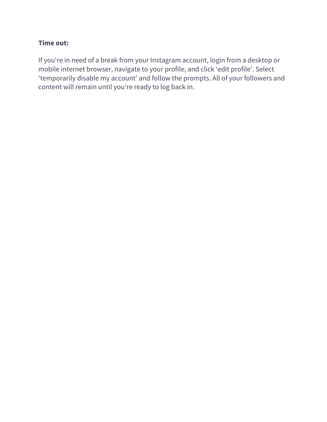#### **Time out:**

If you're in need of a break from your Instagram account, login from a desktop or mobile internet browser, navigate to your profile, and click 'edit profile'. Select 'temporarily disable my account' and follow the prompts. All of your followers and content will remain until you're ready to log back in.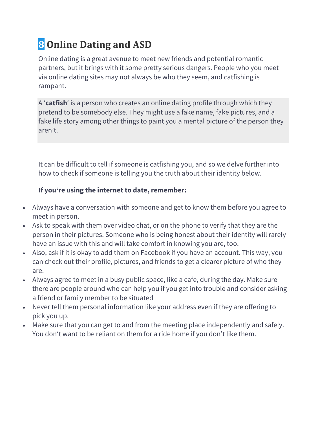# **8 Online Dating and ASD**

Online dating is a great avenue to meet new friends and potential romantic partners, but it brings with it some pretty serious dangers. People who you meet via online dating sites may not always be who they seem, and catfishing is rampant.

A '**catfish**' is a person who creates an online dating profile through which they pretend to be somebody else. They might use a fake name, fake pictures, and a fake life story among other things to paint you a mental picture of the person they aren't.

It can be difficult to tell if someone is catfishing you, and so we delve further into how to check if someone is telling you the truth about their identity below.

#### **If you're using the internet to date, remember:**

- Always have a conversation with someone and get to know them before you agree to meet in person.
- Ask to speak with them over video chat, or on the phone to verify that they are the person in their pictures. Someone who is being honest about their identity will rarely have an issue with this and will take comfort in knowing you are, too.
- Also, ask if it is okay to add them on Facebook if you have an account. This way, you can check out their profile, pictures, and friends to get a clearer picture of who they are.
- Always agree to meet in a busy public space, like a cafe, during the day. Make sure there are people around who can help you if you get into trouble and consider asking a friend or family member to be situated
- Never tell them personal information like your address even if they are offering to pick you up.
- Make sure that you can get to and from the meeting place independently and safely. You don't want to be reliant on them for a ride home if you don't like them.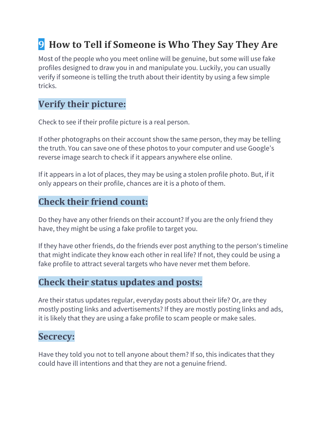# **9** How to Tell if Someone is Who They Say They Are

Most of the people who you meet online will be genuine, but some will use fake profiles designed to draw you in and manipulate you. Luckily, you can usually verify if someone is telling the truth about their identity by using a few simple tricks.

### **Verify their picture:**

Check to see if their profile picture is a real person.

If other photographs on their account show the same person, they may be telling the truth. You can save one of these photos to your computer and use Google's reverse image search to check if it appears anywhere else online.

If it appears in a lot of places, they may be using a stolen profile photo. But, if it only appears on their profile, chances are it is a photo of them.

### **Check their friend count:**

Do they have any other friends on their account? If you are the only friend they have, they might be using a fake profile to target you.

If they have other friends, do the friends ever post anything to the person's timeline that might indicate they know each other in real life? If not, they could be using a fake profile to attract several targets who have never met them before.

### **Check their status updates and posts:**

Are their status updates regular, everyday posts about their life? Or, are they mostly posting links and advertisements? If they are mostly posting links and ads, it is likely that they are using a fake profile to scam people or make sales.

### **Secrecy:**

Have they told you not to tell anyone about them? If so, this indicates that they could have ill intentions and that they are not a genuine friend.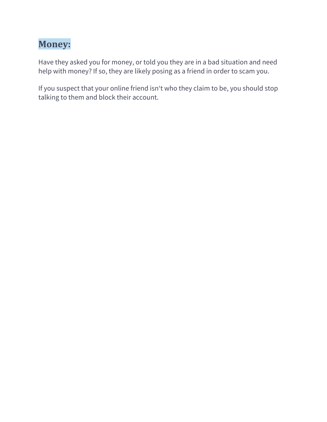### **Money:**

Have they asked you for money, or told you they are in a bad situation and need help with money? If so, they are likely posing as a friend in order to scam you.

If you suspect that your online friend isn't who they claim to be, you should stop talking to them and block their account.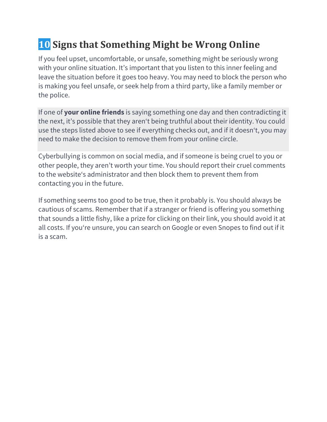# **10 Signs that Something Might be Wrong Online**

If you feel upset, uncomfortable, or unsafe, something might be seriously wrong with your online situation. It's important that you listen to this inner feeling and leave the situation before it goes too heavy. You may need to block the person who is making you feel unsafe, or seek help from a third party, like a family member or the police.

If one of **your online friends** is saying something one day and then contradicting it the next, it's possible that they aren't being truthful about their identity. You could use the steps listed above to see if everything checks out, and if it doesn't, you may need to make the decision to remove them from your online circle.

Cyberbullying is common on social media, and if someone is being cruel to you or other people, they aren't worth your time. You should report their cruel comments to the website's administrator and then block them to prevent them from contacting you in the future.

If something seems too good to be true, then it probably is. You should always be cautious of scams. Remember that if a stranger or friend is offering you something that sounds a little fishy, like a prize for clicking on their link, you should avoid it at all costs. If you're unsure, you can search on Google or even Snopes to find out if it is a scam.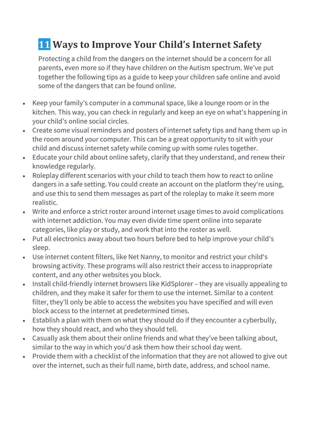## **11** Ways to Improve Your Child's Internet Safety

Protecting a child from the dangers on the internet should be a concern for all parents, even more so if they have children on the Autism spectrum. We've put together the following tips as a guide to keep your children safe online and avoid some of the dangers that can be found online.

- Keep your family's computer in a communal space, like a lounge room or in the kitchen. This way, you can check in regularly and keep an eye on what's happening in your child's online social circles.
- Create some visual reminders and posters of internet safety tips and hang them up in the room around your computer. This can be a great opportunity to sit with your child and discuss internet safety while coming up with some rules together.
- Educate your child about online safety, clarify that they understand, and renew their knowledge regularly.
- Roleplay different scenarios with your child to teach them how to react to online dangers in a safe setting. You could create an account on the platform they're using, and use this to send them messages as part of the roleplay to make it seem more realistic.
- Write and enforce a strict roster around internet usage times to avoid complications with internet addiction. You may even divide time spent online into separate categories, like play or study, and work that into the roster as well.
- Put all electronics away about two hours before bed to help improve your child's sleep.
- Use internet content filters, like Net Nanny, to monitor and restrict your child's browsing activity. These programs will also restrict their access to inappropriate content, and any other websites you block.
- Install child-friendly internet browsers like KidSplorer they are visually appealing to children, and they make it safer for them to use the internet. Similar to a content filter, they'll only be able to access the websites you have specified and will even block access to the internet at predetermined times.
- Establish a plan with them on what they should do if they encounter a cyberbully, how they should react, and who they should tell.
- Casually ask them about their online friends and what they've been talking about, similar to the way in which you'd ask them how their school day went.
- Provide them with a checklist of the information that they are not allowed to give out over the internet, such as their full name, birth date, address, and school name.